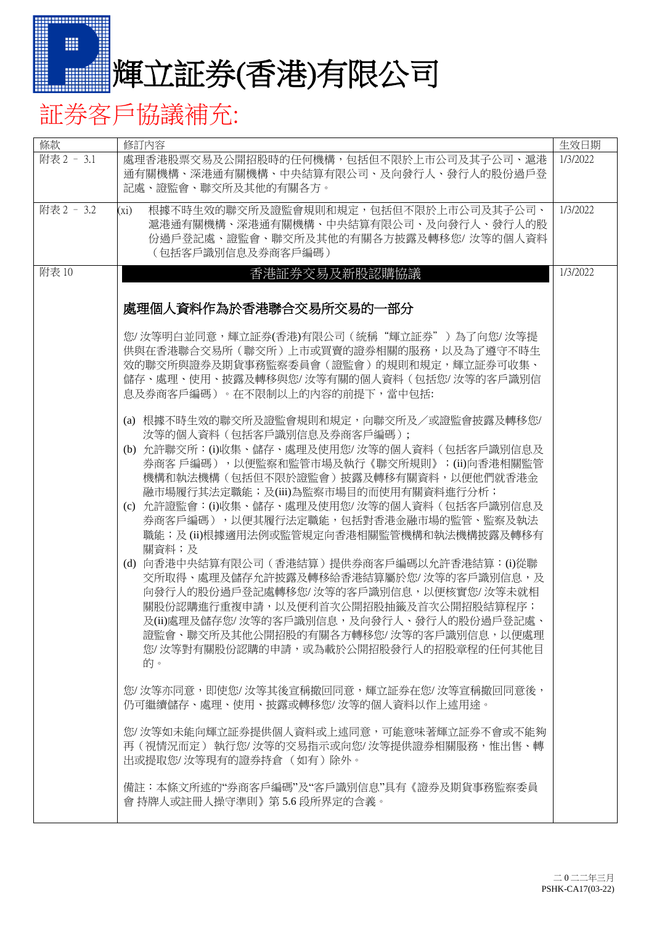

## 証券客戶協議補充:

| 條款         | 修訂內容                                                                                                                                                                                                                                                                                                                                                                                                                                                                                                                                                                                                                                                                                                                                                                                                                                                                                                                                                                                                                                                           | 生效日期     |
|------------|----------------------------------------------------------------------------------------------------------------------------------------------------------------------------------------------------------------------------------------------------------------------------------------------------------------------------------------------------------------------------------------------------------------------------------------------------------------------------------------------------------------------------------------------------------------------------------------------------------------------------------------------------------------------------------------------------------------------------------------------------------------------------------------------------------------------------------------------------------------------------------------------------------------------------------------------------------------------------------------------------------------------------------------------------------------|----------|
| 附表 2 - 3.1 | 處理香港股票交易及公開招股時的任何機構,包括但不限於上市公司及其子公司、滬港<br>通有關機構、深港通有關機構、中央結算有限公司、及向發行人、發行人的股份過戶登<br>記處、證監會、聯交所及其他的有關各方。                                                                                                                                                                                                                                                                                                                                                                                                                                                                                                                                                                                                                                                                                                                                                                                                                                                                                                                                                        | 1/3/2022 |
| 附表 2 - 3.2 | 根據不時生效的聯交所及證監會規則和規定,包括但不限於上市公司及其子公司、<br>$(x_i)$<br>滬港通有關機構、深港通有關機構、中央結算有限公司、及向發行人、發行人的股<br>份過戶登記處、證監會、聯交所及其他的有關各方披露及轉移您/ 汝等的個人資料<br>(包括客戶識別信息及券商客戶編碼)                                                                                                                                                                                                                                                                                                                                                                                                                                                                                                                                                                                                                                                                                                                                                                                                                                                                                                          | 1/3/2022 |
| 附表 10      | 香港証券交易及新股認購協議<br>處理個人資料作為於香港聯合交易所交易的一部分<br>您/ 汝等明白並同意,輝立証券(香港)有限公司(統稱"輝立証券")為了向您/ 汝等提<br>供與在香港聯合交易所(聯交所)上市或買賣的證券相關的服務,以及為了遵守不時生<br>效的聯交所與證券及期貨事務監察委員會(證監會)的規則和規定,輝立証券可收集、<br>儲存、處理、使用、披露及轉移與您/ 汝等有關的個人資料(包括您/ 汝等的客戶識別信<br>息及券商客戶編碼)。在不限制以上的內容的前提下,當中包括:<br>(a) 根據不時生效的聯交所及證監會規則和規定,向聯交所及/或證監會披露及轉移您/<br>汝等的個人資料 (包括客戶識別信息及券商客戶編碼);<br>(b) 允許聯交所:⑴收集、儲存、處理及使用您/汝等的個人資料(包括客戶識別信息及<br>券商客 戶編碼),以便監察和監管市場及執行《聯交所規則》;(ii)向香港相關監管<br>機構和執法機構(包括但不限於證監會)披露及轉移有關資料,以便他們就香港金<br>融市場履行其法定職能;及(iii)為監察市場目的而使用有關資料進行分析;<br>(c) 允許證監會:⑴收集、儲存、處理及使用您/ 汝等的個人資料(包括客戶識別信息及<br>券商客戶編碼),以便其履行法定職能,包括對香港金融市場的監管、監察及執法<br>職能;及(ii)根據適用法例或監管規定向香港相關監管機構和執法機構披露及轉移有<br>關資料;及<br>(d) 向香港中央結算有限公司(香港結算)提供券商客戶編碼以允許香港結算:(i)從聯<br>交所取得、處理及儲存允許披露及轉移給香港結算屬於您/ 汝等的客戶識別信息,及<br>向發行人的股份過戶登記處轉移您/ 汝等的客戶識別信息,以便核實您/ 汝等未就相<br>關股份認購進行重複申請,以及便利首次公開招股抽籤及首次公開招股結算程序;<br>及(ii)處理及儲存您/ 汝等的客戶識別信息,及向發行人、發行人的股份過戶登記處、<br>證監會、聯交所及其他公開招股的有關各方轉移您/ 汝等的客戶識別信息, 以便處理<br>您/ 汝等對有關股份認購的申請,或為載於公開招股發行人的招股章程的任何其他目<br>的。<br>您/ 汝等亦同意,即使您/ 汝等其後宣稱撤回同意,輝立証券在您/ 汝等宣稱撤回同意後,<br>仍可繼續儲存、處理、使用、披露或轉移您/ 汝等的個人資料以作上述用途。 | 1/3/2022 |
|            | 您/ 汝等如未能向輝立証券提供個人資料或上述同意,可能意味著輝立証券不會或不能夠<br>再(視情況而定) 執行您/ 汝等的交易指示或向您/ 汝等提供證券相關服務,惟出售、轉<br>出或提取您/ 汝等現有的證券持倉 (如有)除外。<br>備註:本條文所述的"券商客戶編碼"及"客戶識別信息"具有《證券及期貨事務監察委員                                                                                                                                                                                                                                                                                                                                                                                                                                                                                                                                                                                                                                                                                                                                                                                                                                                                                                 |          |
|            | 會 持牌人或註冊人操守準則》第5.6 段所界定的含義。                                                                                                                                                                                                                                                                                                                                                                                                                                                                                                                                                                                                                                                                                                                                                                                                                                                                                                                                                                                                                                    |          |